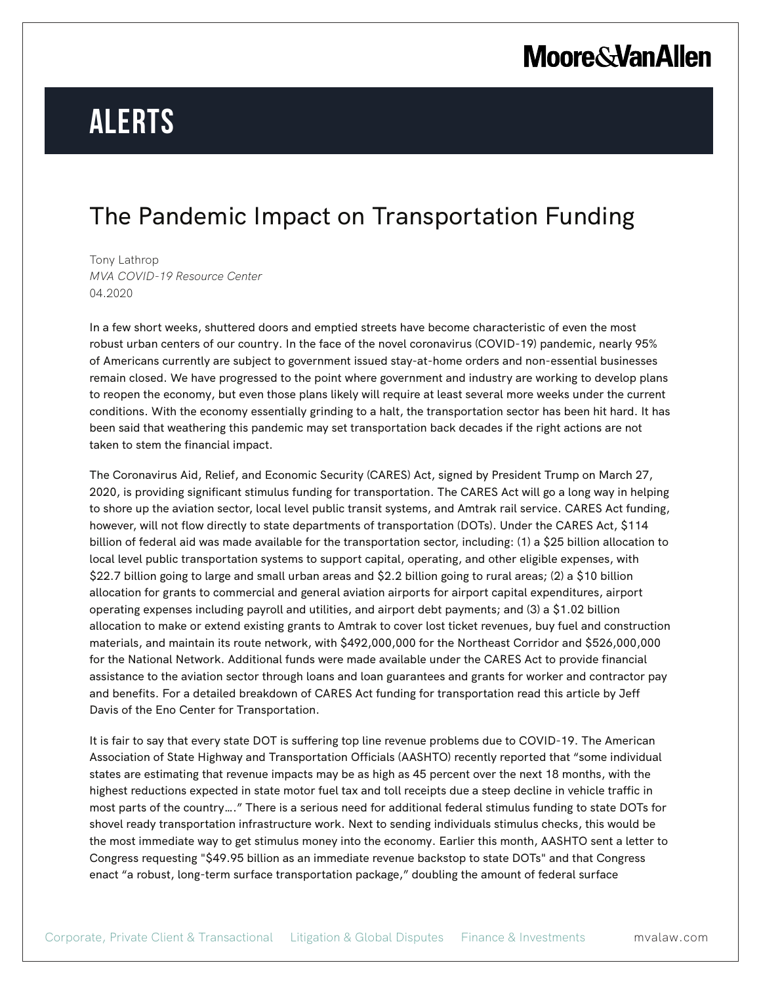# **Moore & Van Allen**

# **Alerts**

### The Pandemic Impact on Transportation Funding

Tony Lathrop *MVA COVID-19 Resource Center* 04.2020

In a few short weeks, shuttered doors and emptied streets have become characteristic of even the most robust urban centers of our country. In the face of the novel coronavirus (COVID-19) pandemic, nearly 95% of Americans currently are subject to government issued stay-at-home orders and non-essential businesses remain closed. We have progressed to the point where government and industry are working to develop plans to reopen the economy, but even those plans likely will require at least several more weeks under the current conditions. With the economy essentially grinding to a halt, the transportation sector has been hit hard. It has been said that weathering this pandemic may set transportation back decades if the right actions are not taken to stem the financial impact.

The Coronavirus Aid, Relief, and Economic Security (CARES) Act, signed by President Trump on March 27, 2020, is providing significant stimulus funding for transportation. The CARES Act will go a long way in helping to shore up the aviation sector, local level public transit systems, and Amtrak rail service. CARES Act funding, however, will not flow directly to state departments of transportation (DOTs). Under the CARES Act, \$114 billion of federal aid was made available for the transportation sector, including: (1) a \$25 billion allocation to local level public transportation systems to support capital, operating, and other eligible expenses, with \$22.7 billion going to large and small urban areas and \$2.2 billion going to rural areas; (2) a \$10 billion allocation for grants to commercial and general aviation airports for airport capital expenditures, airport operating expenses including payroll and utilities, and airport debt payments; and (3) a \$1.02 billion allocation to make or extend existing grants to Amtrak to cover lost ticket revenues, buy fuel and construction materials, and maintain its route network, with \$492,000,000 for the Northeast Corridor and \$526,000,000 for the National Network. Additional funds were made available under the CARES Act to provide financial assistance to the aviation sector through loans and loan guarantees and grants for worker and contractor pay and benefits. For a detailed breakdown of CARES Act funding for transportation read this article by Jeff Davis of the Eno Center for Transportation.

It is fair to say that every state DOT is suffering top line revenue problems due to COVID-19. The American Association of State Highway and Transportation Officials (AASHTO) recently reported that "some individual states are estimating that revenue impacts may be as high as 45 percent over the next 18 months, with the highest reductions expected in state motor fuel tax and toll receipts due a steep decline in vehicle traffic in most parts of the country…." There is a serious need for additional federal stimulus funding to state DOTs for shovel ready transportation infrastructure work. Next to sending individuals stimulus checks, this would be the most immediate way to get stimulus money into the economy. Earlier this month, AASHTO sent a letter to Congress requesting "\$49.95 billion as an immediate revenue backstop to state DOTs" and that Congress enact "a robust, long-term surface transportation package," doubling the amount of federal surface